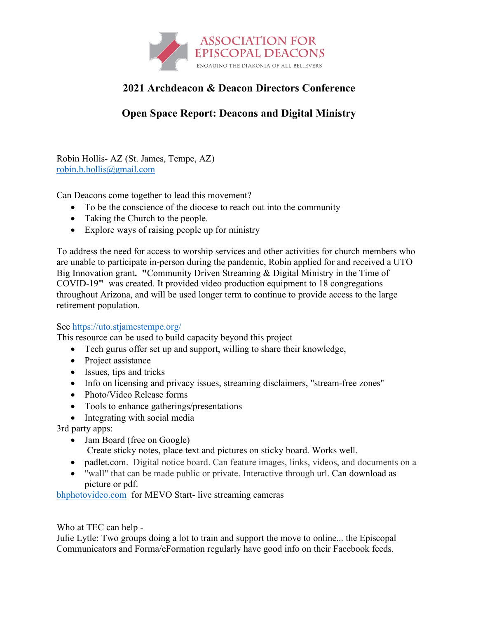

## **2021 Archdeacon & Deacon Directors Conference**

# **Open Space Report: Deacons and Digital Ministry**

Robin Hollis- AZ (St. James, Tempe, AZ) robin.b.hollis@gmail.com

Can Deacons come together to lead this movement?

- To be the conscience of the diocese to reach out into the community
- Taking the Church to the people.
- Explore ways of raising people up for ministry

To address the need for access to worship services and other activities for church members who are unable to participate in-person during the pandemic, Robin applied for and received a UTO Big Innovation grant**. "**Community Driven Streaming & Digital Ministry in the Time of COVID-19**"** was created. It provided video production equipment to 18 congregations throughout Arizona, and will be used longer term to continue to provide access to the large retirement population.

#### See https://uto.stjamestempe.org/

This resource can be used to build capacity beyond this project

- Tech gurus offer set up and support, willing to share their knowledge,
- Project assistance
- Issues, tips and tricks
- Info on licensing and privacy issues, streaming disclaimers, "stream-free zones"
- Photo/Video Release forms
- Tools to enhance gatherings/presentations
- Integrating with social media

3rd party apps:

• Jam Board (free on Google)

Create sticky notes, place text and pictures on sticky board. Works well.

- padlet.com. Digital notice board. Can feature images, links, videos, and documents on a
- "wall" that can be made public or private. Interactive through url. Can download as picture or pdf.

bhphotovideo.com for MEVO Start- live streaming cameras

Who at TEC can help -

Julie Lytle: Two groups doing a lot to train and support the move to online... the Episcopal Communicators and Forma/eFormation regularly have good info on their Facebook feeds.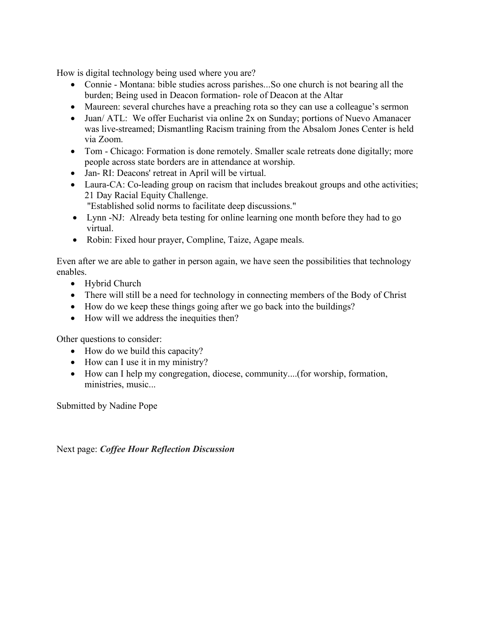How is digital technology being used where you are?

- Connie Montana: bible studies across parishes...So one church is not bearing all the burden; Being used in Deacon formation- role of Deacon at the Altar
- Maureen: several churches have a preaching rota so they can use a colleague's sermon
- Juan/ ATL: We offer Eucharist via online 2x on Sunday; portions of Nuevo Amanacer was live-streamed; Dismantling Racism training from the Absalom Jones Center is held via Zoom.
- Tom Chicago: Formation is done remotely. Smaller scale retreats done digitally; more people across state borders are in attendance at worship.
- Jan- RI: Deacons' retreat in April will be virtual.
- Laura-CA: Co-leading group on racism that includes breakout groups and othe activities; 21 Day Racial Equity Challenge.

"Established solid norms to facilitate deep discussions."

- Lynn -NJ: Already beta testing for online learning one month before they had to go virtual.
- Robin: Fixed hour prayer, Compline, Taize, Agape meals.

Even after we are able to gather in person again, we have seen the possibilities that technology enables.

- Hybrid Church
- There will still be a need for technology in connecting members of the Body of Christ
- How do we keep these things going after we go back into the buildings?
- How will we address the inequities then?

Other questions to consider:

- How do we build this capacity?
- How can I use it in my ministry?
- How can I help my congregation, diocese, community....(for worship, formation, ministries, music...

Submitted by Nadine Pope

Next page: *Coffee Hour Reflection Discussion*